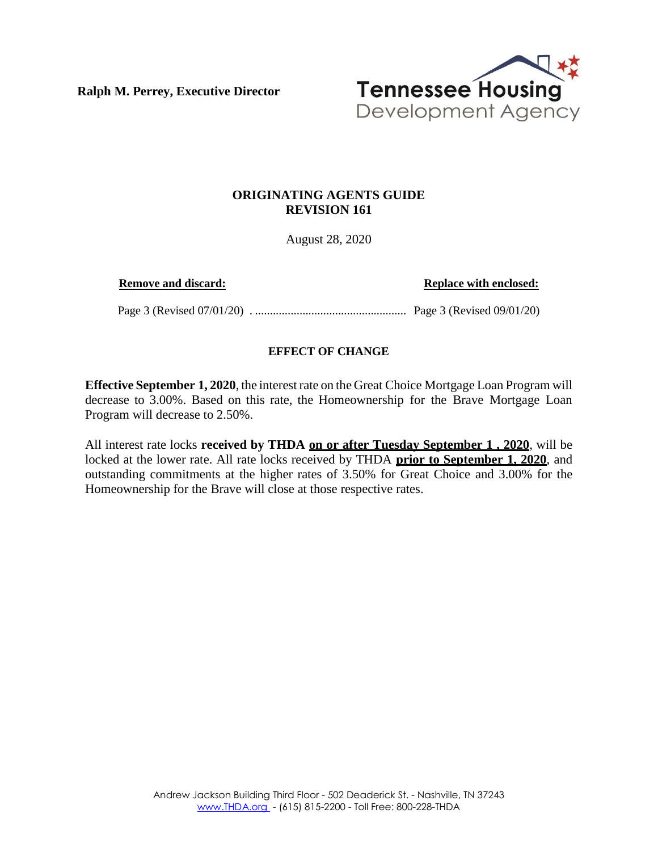**Ralph M. Perrey, Executive Director**



## **ORIGINATING AGENTS GUIDE REVISION 161**

August 28, 2020

**Remove and discard: Replace with enclosed: Replace with enclosed:** 

Page 3 (Revised 07/01/20) . ................................................... Page 3 (Revised 09/01/20)

## **EFFECT OF CHANGE**

**Effective September 1, 2020**, the interest rate on the Great Choice Mortgage Loan Program will decrease to 3.00%. Based on this rate, the Homeownership for the Brave Mortgage Loan Program will decrease to 2.50%.

All interest rate locks **received by THDA on or after Tuesday September 1 , 2020**, will be locked at the lower rate. All rate locks received by THDA **prior to September 1, 2020**, and outstanding commitments at the higher rates of 3.50% for Great Choice and 3.00% for the Homeownership for the Brave will close at those respective rates.